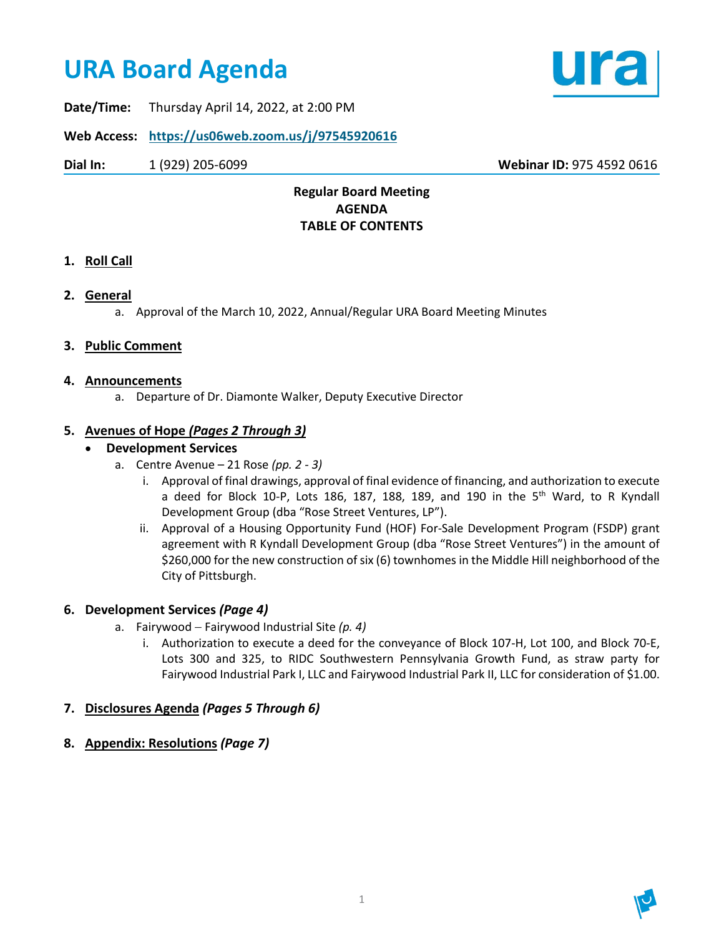# **URA Board Agenda**



**Date/Time:** Thursday April 14, 2022, at 2:00 PM

**Web Access: <https://us06web.zoom.us/j/97545920616>**

**Dial In:** 1 (929) 205-6099 **Webinar ID:** 975 4592 0616

## **Regular Board Meeting AGENDA TABLE OF CONTENTS**

## **1. Roll Call**

## **2. General**

a. Approval of the March 10, 2022, Annual/Regular URA Board Meeting Minutes

#### **3. Public Comment**

#### **4. Announcements**

a. Departure of Dr. Diamonte Walker, Deputy Executive Director

## **5. Avenues of Hope** *(Pages 2 Through 3)*

#### • **Development Services**

- a. Centre Avenue 21 Rose *(pp. 2 3)*
	- i. Approval of final drawings, approval of final evidence of financing, and authorization to execute a deed for Block 10-P, Lots 186, 187, 188, 189, and 190 in the  $5<sup>th</sup>$  Ward, to R Kyndall Development Group (dba "Rose Street Ventures, LP").
	- ii. Approval of a Housing Opportunity Fund (HOF) For-Sale Development Program (FSDP) grant agreement with R Kyndall Development Group (dba "Rose Street Ventures") in the amount of \$260,000 for the new construction of six (6) townhomes in the Middle Hill neighborhood of the City of Pittsburgh.

#### **6. Development Services** *(Page 4)*

- a. Fairywood − Fairywood Industrial Site *(p. 4)*
	- i. Authorization to execute a deed for the conveyance of Block 107-H, Lot 100, and Block 70-E, Lots 300 and 325, to RIDC Southwestern Pennsylvania Growth Fund, as straw party for Fairywood Industrial Park I, LLC and Fairywood Industrial Park II, LLC for consideration of \$1.00.

## **7. Disclosures Agenda** *(Pages 5 Through 6)*

**8. Appendix: Resolutions** *(Page 7)*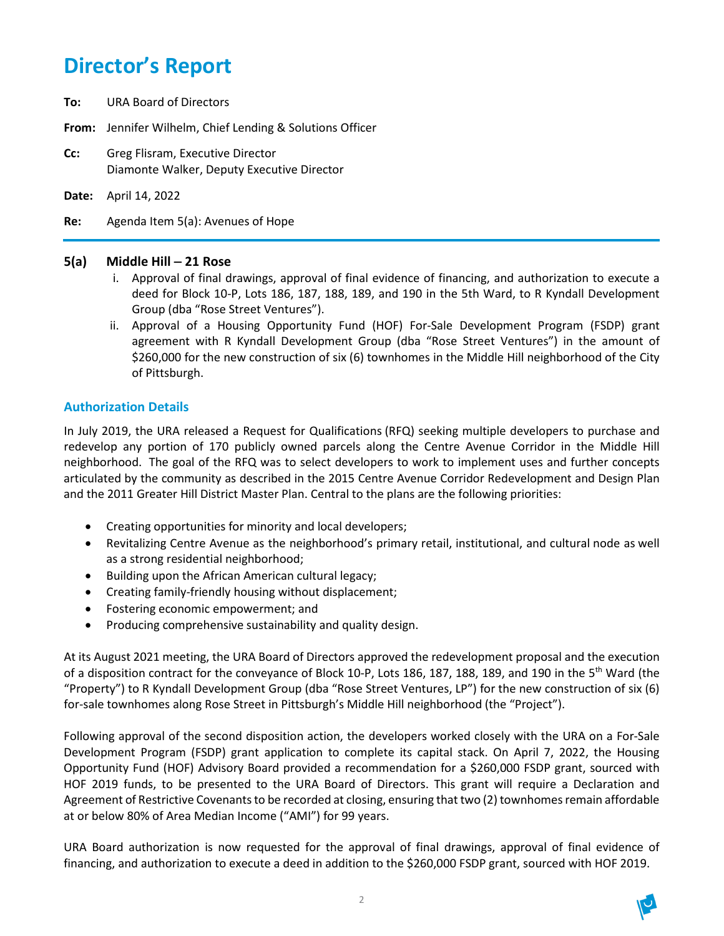## **Director's Report**

- **To:** URA Board of Directors
- **From:** Jennifer Wilhelm, Chief Lending & Solutions Officer
- **Cc:** Greg Flisram, Executive Director Diamonte Walker, Deputy Executive Director
- **Date:** April 14, 2022

**Re:** Agenda Item 5(a): Avenues of Hope

#### **5(a) Middle Hill** − **21 Rose**

- i. Approval of final drawings, approval of final evidence of financing, and authorization to execute a deed for Block 10-P, Lots 186, 187, 188, 189, and 190 in the 5th Ward, to R Kyndall Development Group (dba "Rose Street Ventures").
- ii. Approval of a Housing Opportunity Fund (HOF) For-Sale Development Program (FSDP) grant agreement with R Kyndall Development Group (dba "Rose Street Ventures") in the amount of \$260,000 for the new construction of six (6) townhomes in the Middle Hill neighborhood of the City of Pittsburgh.

#### **Authorization Details**

In July 2019, the URA released a Request for Qualifications (RFQ) seeking multiple developers to purchase and redevelop any portion of 170 publicly owned parcels along the Centre Avenue Corridor in the Middle Hill neighborhood. The goal of the RFQ was to select developers to work to implement uses and further concepts articulated by the community as described in the 2015 Centre Avenue Corridor Redevelopment and Design Plan and the 2011 Greater Hill District Master Plan. Central to the plans are the following priorities:

- Creating opportunities for minority and local developers;
- Revitalizing Centre Avenue as the neighborhood's primary retail, institutional, and cultural node as well as a strong residential neighborhood;
- Building upon the African American cultural legacy;
- Creating family-friendly housing without displacement;
- Fostering economic empowerment; and
- Producing comprehensive sustainability and quality design.

At its August 2021 meeting, the URA Board of Directors approved the redevelopment proposal and the execution of a disposition contract for the conveyance of Block 10-P, Lots 186, 187, 188, 189, and 190 in the 5<sup>th</sup> Ward (the "Property") to R Kyndall Development Group (dba "Rose Street Ventures, LP") for the new construction of six (6) for-sale townhomes along Rose Street in Pittsburgh's Middle Hill neighborhood (the "Project").

Following approval of the second disposition action, the developers worked closely with the URA on a For-Sale Development Program (FSDP) grant application to complete its capital stack. On April 7, 2022, the Housing Opportunity Fund (HOF) Advisory Board provided a recommendation for a \$260,000 FSDP grant, sourced with HOF 2019 funds, to be presented to the URA Board of Directors. This grant will require a Declaration and Agreement of Restrictive Covenants to be recorded at closing, ensuring that two (2) townhomes remain affordable at or below 80% of Area Median Income ("AMI") for 99 years.

URA Board authorization is now requested for the approval of final drawings, approval of final evidence of financing, and authorization to execute a deed in addition to the \$260,000 FSDP grant, sourced with HOF 2019.

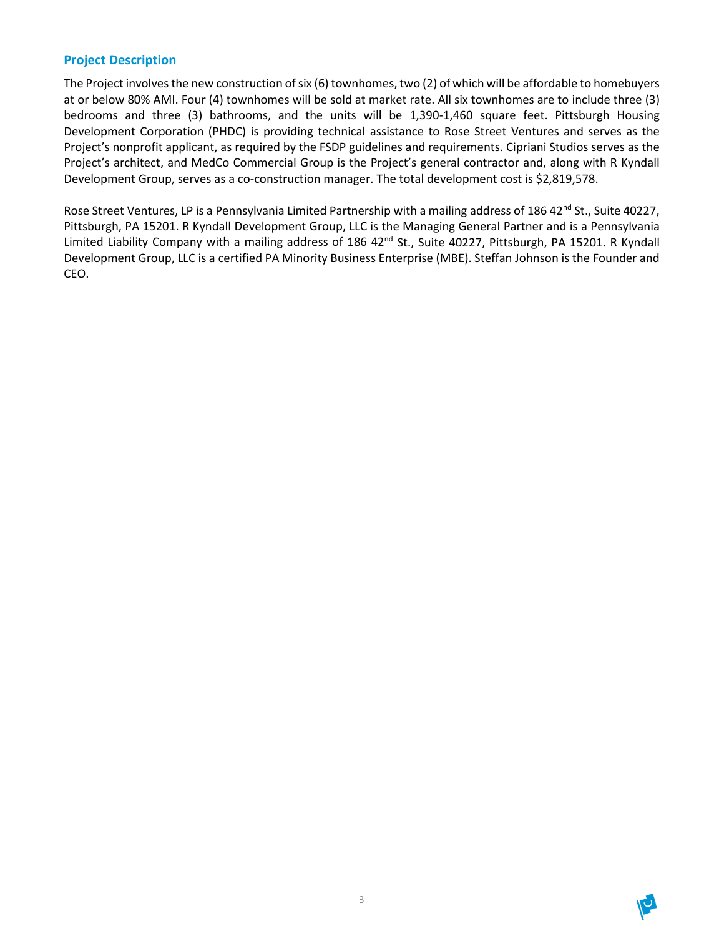#### **Project Description**

The Project involves the new construction of six (6) townhomes, two (2) of which will be affordable to homebuyers at or below 80% AMI. Four (4) townhomes will be sold at market rate. All six townhomes are to include three (3) bedrooms and three (3) bathrooms, and the units will be 1,390-1,460 square feet. Pittsburgh Housing Development Corporation (PHDC) is providing technical assistance to Rose Street Ventures and serves as the Project's nonprofit applicant, as required by the FSDP guidelines and requirements. Cipriani Studios serves as the Project's architect, and MedCo Commercial Group is the Project's general contractor and, along with R Kyndall Development Group, serves as a co-construction manager. The total development cost is \$2,819,578.

Rose Street Ventures, LP is a Pennsylvania Limited Partnership with a mailing address of 186 42<sup>nd</sup> St., Suite 40227, Pittsburgh, PA 15201. R Kyndall Development Group, LLC is the Managing General Partner and is a Pennsylvania Limited Liability Company with a mailing address of 186 42<sup>nd</sup> St., Suite 40227, Pittsburgh, PA 15201. R Kyndall Development Group, LLC is a certified PA Minority Business Enterprise (MBE). Steffan Johnson is the Founder and CEO.

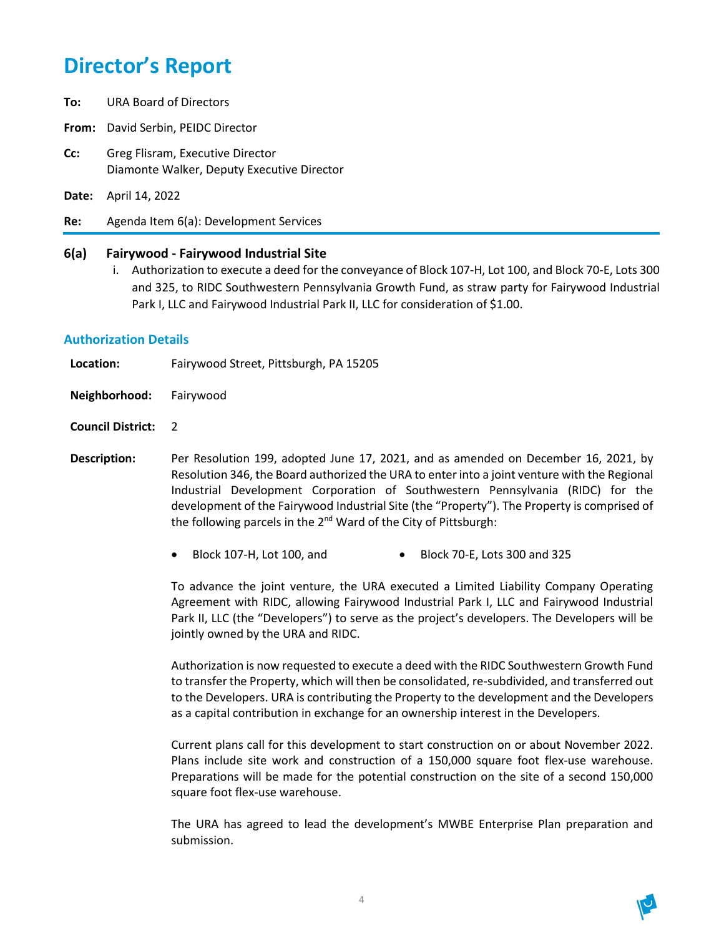## **Director's Report**

- **To:** URA Board of Directors
- **From:** David Serbin, PEIDC Director
- **Cc:** Greg Flisram, Executive Director Diamonte Walker, Deputy Executive Director
- **Date:** April 14, 2022
- **Re:** Agenda Item 6(a): Development Services

#### **6(a) Fairywood - Fairywood Industrial Site**

i. Authorization to execute a deed for the conveyance of Block 107-H, Lot 100, and Block 70-E, Lots 300 and 325, to RIDC Southwestern Pennsylvania Growth Fund, as straw party for Fairywood Industrial Park I, LLC and Fairywood Industrial Park II, LLC for consideration of \$1.00.

#### **Authorization Details**

| Location: | Fairywood Street, Pittsburgh, PA 15205 |
|-----------|----------------------------------------|
|-----------|----------------------------------------|

- **Neighborhood:** Fairywood
- **Council District:** 2
- **Description:** Per Resolution 199, adopted June 17, 2021, and as amended on December 16, 2021, by Resolution 346, the Board authorized the URA to enter into a joint venture with the Regional Industrial Development Corporation of Southwestern Pennsylvania (RIDC) for the development of the Fairywood Industrial Site (the "Property"). The Property is comprised of the following parcels in the 2<sup>nd</sup> Ward of the City of Pittsburgh:
	- Block 107-H, Lot 100, and Block 70-E, Lots 300 and 325

To advance the joint venture, the URA executed a Limited Liability Company Operating Agreement with RIDC, allowing Fairywood Industrial Park I, LLC and Fairywood Industrial Park II, LLC (the "Developers") to serve as the project's developers. The Developers will be jointly owned by the URA and RIDC.

Authorization is now requested to execute a deed with the RIDC Southwestern Growth Fund to transfer the Property, which will then be consolidated, re-subdivided, and transferred out to the Developers. URA is contributing the Property to the development and the Developers as a capital contribution in exchange for an ownership interest in the Developers.

Current plans call for this development to start construction on or about November 2022. Plans include site work and construction of a 150,000 square foot flex-use warehouse. Preparations will be made for the potential construction on the site of a second 150,000 square foot flex-use warehouse.

The URA has agreed to lead the development's MWBE Enterprise Plan preparation and submission.

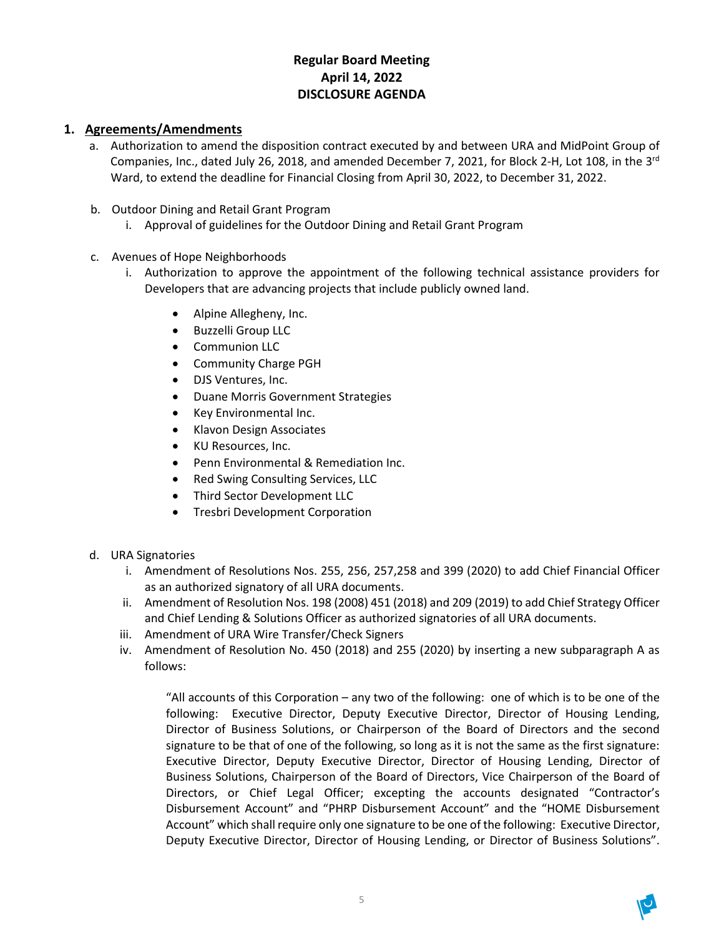## **Regular Board Meeting April 14, 2022 DISCLOSURE AGENDA**

## **1. Agreements/Amendments**

- a. Authorization to amend the disposition contract executed by and between URA and MidPoint Group of Companies, Inc., dated July 26, 2018, and amended December 7, 2021, for Block 2-H, Lot 108, in the 3rd Ward, to extend the deadline for Financial Closing from April 30, 2022, to December 31, 2022.
- b. Outdoor Dining and Retail Grant Program
	- i. Approval of guidelines for the Outdoor Dining and Retail Grant Program
- c. Avenues of Hope Neighborhoods
	- i. Authorization to approve the appointment of the following technical assistance providers for Developers that are advancing projects that include publicly owned land.
		- Alpine Allegheny, Inc.
		- Buzzelli Group LLC
		- Communion LLC
		- Community Charge PGH
		- DJS Ventures, Inc.
		- Duane Morris Government Strategies
		- Key Environmental Inc.
		- Klavon Design Associates
		- KU Resources, Inc.
		- Penn Environmental & Remediation Inc.
		- Red Swing Consulting Services, LLC
		- Third Sector Development LLC
		- Tresbri Development Corporation
- d. URA Signatories
	- i. Amendment of Resolutions Nos. 255, 256, 257,258 and 399 (2020) to add Chief Financial Officer as an authorized signatory of all URA documents.
	- ii. Amendment of Resolution Nos. 198 (2008) 451 (2018) and 209 (2019) to add Chief Strategy Officer and Chief Lending & Solutions Officer as authorized signatories of all URA documents.
	- iii. Amendment of URA Wire Transfer/Check Signers
	- iv. Amendment of Resolution No. 450 (2018) and 255 (2020) by inserting a new subparagraph A as follows:

"All accounts of this Corporation – any two of the following: one of which is to be one of the following: Executive Director, Deputy Executive Director, Director of Housing Lending, Director of Business Solutions, or Chairperson of the Board of Directors and the second signature to be that of one of the following, so long as it is not the same as the first signature: Executive Director, Deputy Executive Director, Director of Housing Lending, Director of Business Solutions, Chairperson of the Board of Directors, Vice Chairperson of the Board of Directors, or Chief Legal Officer; excepting the accounts designated "Contractor's Disbursement Account" and "PHRP Disbursement Account" and the "HOME Disbursement Account" which shall require only one signature to be one of the following: Executive Director, Deputy Executive Director, Director of Housing Lending, or Director of Business Solutions".

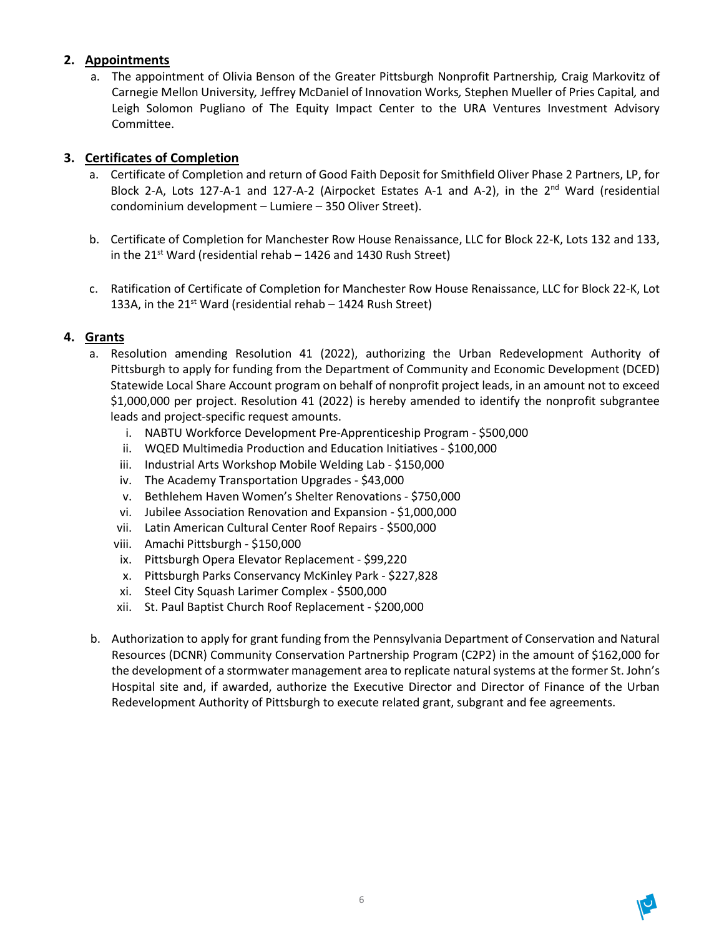## **2. Appointments**

a. The appointment of Olivia Benson of the Greater Pittsburgh Nonprofit Partnership*,* Craig Markovitz of Carnegie Mellon University*,* Jeffrey McDaniel of Innovation Works*,* Stephen Mueller of Pries Capital*,* and Leigh Solomon Pugliano of The Equity Impact Center to the URA Ventures Investment Advisory Committee.

## **3. Certificates of Completion**

- a. Certificate of Completion and return of Good Faith Deposit for Smithfield Oliver Phase 2 Partners, LP, for Block 2-A, Lots 127-A-1 and 127-A-2 (Airpocket Estates A-1 and A-2), in the 2<sup>nd</sup> Ward (residential condominium development – Lumiere – 350 Oliver Street).
- b. Certificate of Completion for Manchester Row House Renaissance, LLC for Block 22-K, Lots 132 and 133, in the 21<sup>st</sup> Ward (residential rehab  $-$  1426 and 1430 Rush Street)
- c. Ratification of Certificate of Completion for Manchester Row House Renaissance, LLC for Block 22-K, Lot 133A, in the  $21^{st}$  Ward (residential rehab  $-1424$  Rush Street)

## **4. Grants**

- a. Resolution amending Resolution 41 (2022), authorizing the Urban Redevelopment Authority of Pittsburgh to apply for funding from the Department of Community and Economic Development (DCED) Statewide Local Share Account program on behalf of nonprofit project leads, in an amount not to exceed \$1,000,000 per project. Resolution 41 (2022) is hereby amended to identify the nonprofit subgrantee leads and project-specific request amounts.
	- i. NABTU Workforce Development Pre-Apprenticeship Program \$500,000
	- ii. WQED Multimedia Production and Education Initiatives \$100,000
	- iii. Industrial Arts Workshop Mobile Welding Lab \$150,000
	- iv. The Academy Transportation Upgrades \$43,000
	- v. Bethlehem Haven Women's Shelter Renovations \$750,000
	- vi. Jubilee Association Renovation and Expansion \$1,000,000
	- vii. Latin American Cultural Center Roof Repairs \$500,000
	- viii. Amachi Pittsburgh \$150,000
	- ix. Pittsburgh Opera Elevator Replacement \$99,220
	- x. Pittsburgh Parks Conservancy McKinley Park \$227,828
	- xi. Steel City Squash Larimer Complex \$500,000
	- xii. St. Paul Baptist Church Roof Replacement \$200,000
- b. Authorization to apply for grant funding from the Pennsylvania Department of Conservation and Natural Resources (DCNR) Community Conservation Partnership Program (C2P2) in the amount of \$162,000 for the development of a stormwater management area to replicate natural systems at the former St. John's Hospital site and, if awarded, authorize the Executive Director and Director of Finance of the Urban Redevelopment Authority of Pittsburgh to execute related grant, subgrant and fee agreements.